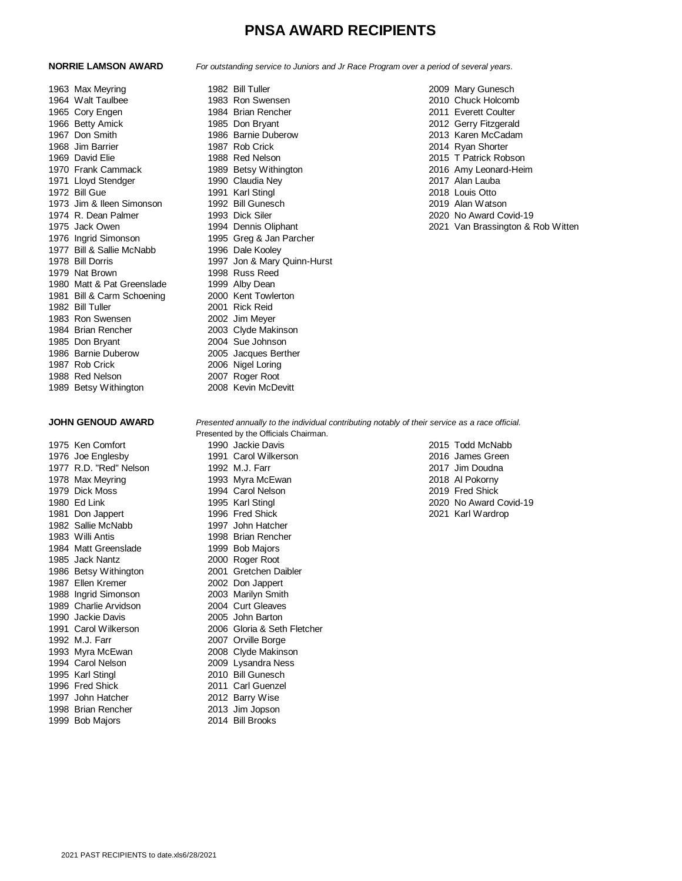### **NORRIE LAMSON AWARD** *For outstanding service to Juniors and Jr Race Program over a period of several years.*

1976 Ingrid Simonson 1995 Greg & Jan Parcher 1977 Bill & Sallie McNabb 1996 Dale Kooley 1979 Nat Brown 1998 Russ Reed 1980 Matt & Pat Greenslade 1999 Alby Dean 1981 Bill & Carm Schoening 2000 Kent Towlerton 1982 Bill Tuller 2001 Rick Reid 1983 Ron Swensen<br>1984 Brian Rencher 1984 Brian Rencher 2003 Clyde Makinson 1985 Don Bryant 2004 Sue Johnson 1986 Barnie Duberow 2005 Jacques Berther 1987 Rob Crick 2006 Nigel Loring 1988 Red Nelson 2007 Roger Root 1989 Betsy Withington 2008 Kevin McDevitt

1982 Sallie McNabb 1997 John Hatcher 1983 Willi Antis 1998 Brian Rencher 1984 Matt Greenslade 1999 Bob Majors 1985 Jack Nantz 2000 Roger Root 1987 Ellen Kremer 1988 Ingrid Simonson 2003 Marilyn Smith 1989 Charlie Arvidson 2004 Curt Gleaves 1990 Jackie Davis 2005 John Barton 1992 M.J. Farr 2007 Orville Borge 1993 Myra McEwan 2008 Clyde Makinson 1994 Carol Nelson 2009 Lysandra Ness 1995 Karl Stingl 2010 Bill Gunesch 1996 Fred Shick 2011 Carl Guenzel 1997 John Hatcher 2012 Barry Wise 1998 Brian Rencher 2013 Jim Jopson 1999 Bob Majors 2014 Bill Brooks

1963 Max Meyring **1982 Bill Tuller** 1982 Bill Tuller 2009 Mary Gunesch 1964 Walt Taulbee 1983 Ron Swensen 2010 Chuck Holcomb 1965 Cory Engen 1984 Brian Rencher 2011 Everett Coulter 1966 Betty Amick 1985 Don Bryant 2012 Gerry Fitzgerald 1967 Don Smith 1986 Barnie Duberow 2013 Karen McCadam 1968 Jim Barrier 1987 Rob Crick 2014 Ryan Shorter 1969 David Elie 1988 Red Nelson 2015 T Patrick Robson 1970 Frank Cammack 1989 Betsy Withington 2016 Amy Leonard-Heim 1971 Lloyd Stendger 1990 Claudia Ney 2017 Alan Lauba 1972 Bill Gue 1991 Karl Stingl 2018 Louis Otto 1973 Jim & Ileen Simonson 1992 Bill Gunesch 2019 Alan Watson 1974 R. Dean Palmer 1993 Dick Siler 2020 No Award Covid-19 1975 Jack Owen 1994 Dennis Oliphant 2021 Van Brassington & Rob Witten 1978 Bill Dorris 1997 Jon & Mary Quinn-Hurst

**JOHN GENOUD AWARD** *Presented annually to the individual contributing notably of their service as a race official.*  Presented by the Officials Chairman.

- 1975 Ken Comfort 1990 Jackie Davis 2015 Todd McNabb 1976 Joe Englesby 1991 Carol Wilkerson 2016 James Green 1977 R.D. "Red" Nelson 1992 M.J. Farr 2017 Jim Doudna 1978 Max Meyring 1993 Myra McEwan 2018 Al Pokorny 1979 Dick Moss 1994 Carol Nelson 2019 Fred Shick 1980 Ed Link 1995 Karl Stingl 2020 No Award Covid-19 1981 Don Jappert 1996 Fred Shick 2021 Karl Wardrop 1986 Betsy Withington 2001 Gretchen Daibler 1991 Carol Wilkerson 2006 Gloria & Seth Fletcher
	-
- 
-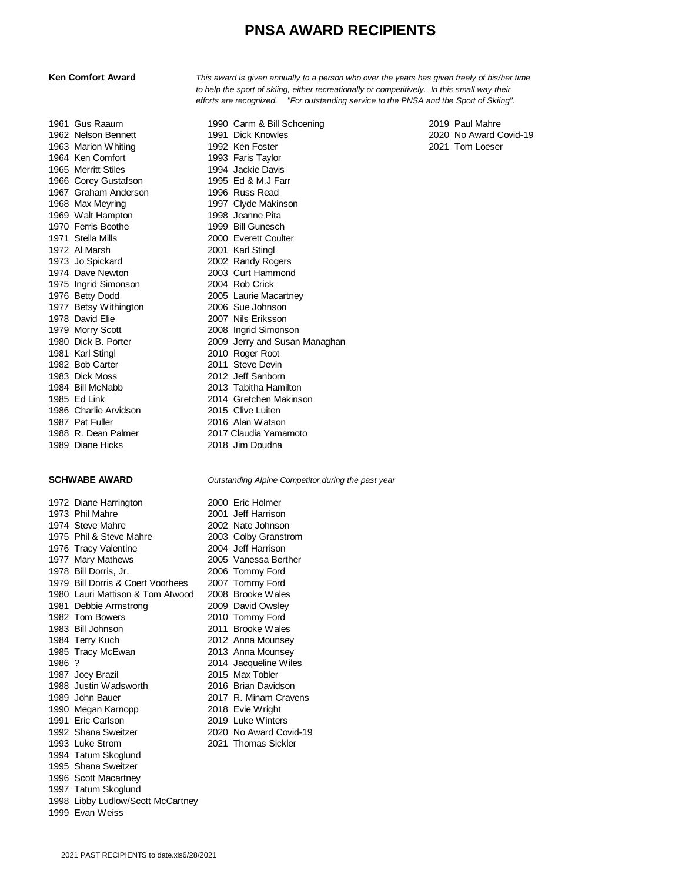1961 Gus Raaum 1990 Carm & Bill Schoening 2019 Paul Mahre 1966 Corey Gustafson 1970 Ferris Boothe 1999 Bill Gunesch 1971 Stella Mills 2000 Everett Coulter 1972 Al Marsh 2001 Karl Stingl 1973 Jo Spickard 2002 Randy Rogers 1974 Dave Newton 2003 Curt Hammond 1975 Ingrid Simonson 2004 Rob Crick 1976 Betty Dodd 2005 Laurie Macartney 1977 Betsy Withington 1978 David Elie 2007 Nils Eriksson 1979 Morry Scott 2008 Ingrid Simonson 1981 Karl Stingl 2010 Roger Root 1982 Bob Carter 2011 Steve Devin 1983 Dick Moss 2012 Jeff Sanborn 1984 Bill McNabb 2013 Tabitha Hamilton 1986 Charlie Arvidson 1986 Charlie Arvidson<br>1987 Pat Fuller 2016 Alan Watson

1972 Diane Harrington 2000 Eric Holmer 1973 Phil Mahre 2001 Jeff Harrison 1974 Steve Mahre 2002 Nate Johnson 1975 Phil & Steve Mahre 2003 Colby Granstrom 1976 Tracy Valentine 2004 Jeff Harrison 1977 Mary Mathews 2005 Vanessa Berther 1978 Bill Dorris, Jr. 2006 Tommy Ford 1979 Bill Dorris & Coert Voorhees 2007 Tommy Ford 1980 Lauri Mattison & Tom Atwood 2008 Brooke Wales 1981 Debbie Armstrong 2009 David Owsley 1982 Tom Bowers 2010 Tommy Ford 1983 Bill Johnson 2011 Brooke Wales 1984 Terry Kuch 2012 Anna Mounsey 1985 Tracy McEwan 2013 Anna Mounsey 1986 ? 2014 Jacqueline Wiles 1987 Joey Brazil 2015 Max Tobler 1988 Justin Wadsworth 2016 Brian Davidson 1989 John Bauer 2017 R. Minam Cravens 1990 Megan Karnopp 2018 Evie Wright 1991 Eric Carlson 2019 Luke Winters 1992 Shana Sweitzer 2020 No Award Covid-19 1993 Luke Strom 2021 Thomas Sickler 1994 Tatum Skoglund 1995 Shana Sweitzer 1996 Scott Macartney 1997 Tatum Skoglund 1998 Libby Ludlow/Scott McCartney 1999 Evan Weiss

**Ken Comfort Award** *This award is given annually to a person who over the years has given freely of his/her time to help the sport of skiing, either recreationally or competitively. In this small way their efforts are recognized. "For outstanding service to the PNSA and the Sport of Skiing".*

1962 Nelson Bennett 1991 Dick Knowles 2020 No Award Covid-19 1963 Marion Whiting 1992 Ken Foster 2021 Tom Loeser 1964 Ken Comfort 1993 Faris Taylor 1965 Merritt Stiles 1994 Jackie Davis 1967 Graham Anderson 1996 Russ Read 1968 Max Meyring 1997 Clyde Makinson 1969 Walt Hampton 1998 Jeanne Pita 1980 Dick B. Porter 2009 Jerry and Susan Managhan 1985 Ed Link 2014 Gretchen Makinson 1988 R. Dean Palmer 2017 Claudia Yamamoto 1989 Diane Hicks 2018 Jim Doudna

**SCHWABE AWARD** *Outstanding Alpine Competitor during the past year*

#### 2021 PAST RECIPIENTS to date.xls6/28/2021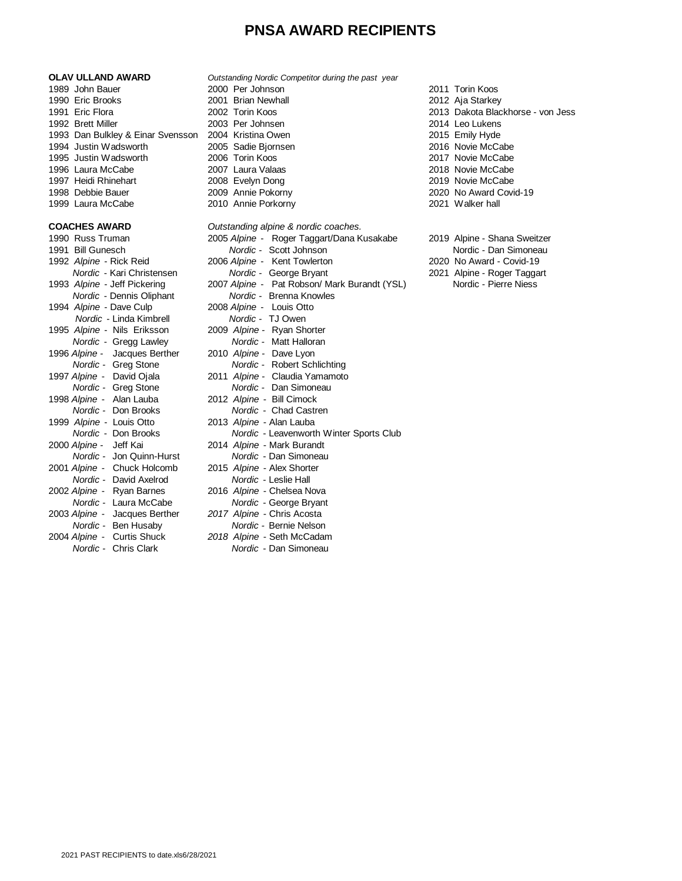### **OLAV ULLAND AWARD** *Outstanding Nordic Competitor during the past year*

| 1990 Russ Truman       |                               |  |  |  |
|------------------------|-------------------------------|--|--|--|
| 1991 Bill Gunesch      |                               |  |  |  |
|                        | 1992 Alpine - Rick Reid       |  |  |  |
|                        | Nordic - Kari Christensen     |  |  |  |
|                        | 1993 Alpine - Jeff Pickering  |  |  |  |
|                        | Nordic - Dennis Oliphant      |  |  |  |
|                        | 1994 Alpine - Dave Culp       |  |  |  |
|                        | Nordic - Linda Kimbrell       |  |  |  |
|                        | 1995 Alpine - Nils Eriksson   |  |  |  |
|                        | Nordic - Gregg Lawley         |  |  |  |
|                        | 1996 Alpine - Jacques Berther |  |  |  |
|                        | Nordic - Greg Stone           |  |  |  |
|                        | 1997 Alpine - David Ojala     |  |  |  |
|                        | Nordic - Greg Stone           |  |  |  |
|                        | 1998 Alpine - Alan Lauba      |  |  |  |
|                        | Nordic - Don Brooks           |  |  |  |
|                        | 1999 Alpine - Louis Otto      |  |  |  |
|                        | Nordic - Don Brooks           |  |  |  |
| 2000 Alpine - Jeff Kai |                               |  |  |  |
| Nordic -               | Jon Quinn-Hurst               |  |  |  |
|                        | 2001 Alpine - Chuck Holcomb   |  |  |  |
| Nordic -               | David Axelrod                 |  |  |  |
| 2002 Alpine -          | <b>Ryan Barnes</b>            |  |  |  |
| Nordic -               | Laura McCabe                  |  |  |  |
|                        | 2003 Alpine - Jacques Berther |  |  |  |
| Nordic -               | <b>Ben Husaby</b>             |  |  |  |
|                        | 2004 Alpine - Curtis Shuck    |  |  |  |
| Nordic -               | <b>Chris Clark</b>            |  |  |  |

1989 John Bauer 2000 Per Johnson 2011 Torin Koos 1990 Eric Brooks 2001 Brian Newhall 2012 Aja Starkey 1991 Eric Flora 2002 Torin Koos 2013 Dakota Blackhorse - von Jess 1992 Brett Miller 2003 Per Johnsen 2014 Leo Lukens 1993 Dan Bulkley & Einar Svensson 2004 Kristina Owen 2015 Emily Hyde 1994 Justin Wadsworth 2005 Sadie Bjornsen 2016 Novie McCabe 1995 Justin Wadsworth 2006 Torin Koos 2017 Novie McCabe 1996 Laura McCabe 2007 Laura Valaas 2018 Novie McCabe 1997 Heidi Rhinehart 2008 Evelyn Dong 2019 Novie McCabe 1998 Debbie Bauer 2009 Annie Pokorny 2020 No Award Covid-19 1999 Laura McCabe 2010 Annie Porkorny 2021 Walker hall **COACHES AWARD** *Outstanding alpine & nordic coaches.* 2005 Alpine - Roger Taggart/Dana Kusakabe 2019 Alpine - Shana Sweitzer 1991 Nordic - Scott Johnson Nordic - Dan Simoneau 1992 *Alpine* - Rick Reid 2006 *Alpine* - Kent Towlerton 2020 No Award - Covid-19 *Nordic* - George Bryant 2021 Alpine - Roger Taggart 1993 *Alpine* - Jeff Pickering 2007 *Alpine* - Pat Robson/ Mark Burandt (YSL) Nordic - Pierre Niess *Nordic* - Brenna Knowles 1994 *Alpine* - Dave Culp 2008 *Alpine* - Louis Otto *Nordic* - TJ Owen 2009 Alpine - Ryan Shorter *Nordic* - Matt Halloran 2010 Alpine - Dave Lyon *Nordic -* Robert Schlichting 1997 *Alpine* - David Ojala 2011 *Alpine -* Claudia Yamamoto *Nordic - Dan Simoneau* 2012 Alpine - Bill Cimock *Nordic - Chad Castren* 2013 Alpine - Alan Lauba *Nordic* - Leavenworth Winter Sports Club 2014 Alpine - Mark Burandt *Nordic -* Jon Quinn-Hurst *Nordic* - Dan Simoneau 2015 Alpine - Alex Shorter *Nordic - Leslie Hall* 2016 Alpine - Chelsea Nova *Nordic - George Bryant* 2017 Alpine - Chris Acosta

> *Nordic - Bernie Nelson* 2018 Alpine - Seth McCadam  *Nordic -* Chris Clark *Nordic* - Dan Simoneau

- - -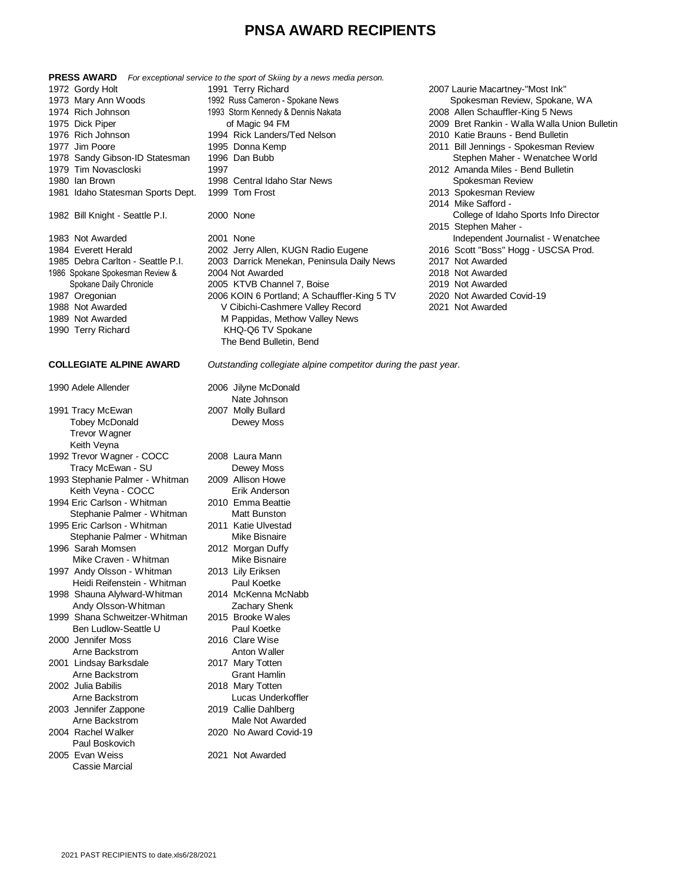| <b>PRESS AWARD</b>                | For exceptional service to the sport of Skiing by a news media person. |                                               |
|-----------------------------------|------------------------------------------------------------------------|-----------------------------------------------|
| 1972 Gordy Holt                   | 1991 Terry Richard                                                     | 2007 Laurie Macartney-"Most Ink"              |
| 1973 Mary Ann Woods               | 1992 Russ Cameron - Spokane News                                       | Spokesman Review, Spokane, WA                 |
|                                   |                                                                        |                                               |
| 1974 Rich Johnson                 | 1993 Storm Kennedy & Dennis Nakata                                     | 2008 Allen Schauffler-King 5 News             |
| 1975 Dick Piper                   | of Magic 94 FM                                                         | 2009 Bret Rankin - Walla Walla Union Bulletin |
| 1976 Rich Johnson                 | 1994 Rick Landers/Ted Nelson                                           | 2010 Katie Brauns - Bend Bulletin             |
| 1977 Jim Poore                    | 1995 Donna Kemp                                                        | 2011 Bill Jennings - Spokesman Review         |
| 1978 Sandy Gibson-ID Statesman    | 1996 Dan Bubb                                                          | Stephen Maher - Wenatchee World               |
| 1979 Tim Novascloski              | 1997                                                                   | 2012 Amanda Miles - Bend Bulletin             |
| 1980 Ian Brown                    | 1998 Central Idaho Star News                                           | Spokesman Review                              |
| 1981 Idaho Statesman Sports Dept. | 1999 Tom Frost                                                         | 2013 Spokesman Review                         |
|                                   |                                                                        | 2014 Mike Safford -                           |
|                                   |                                                                        |                                               |
| 1982 Bill Knight - Seattle P.I.   | 2000 None                                                              | College of Idaho Sports Info Director         |
|                                   |                                                                        | 2015 Stephen Maher -                          |
| 1983 Not Awarded                  | 2001 None                                                              | Independent Journalist - Wenatchee            |
| 1984 Everett Herald               | 2002 Jerry Allen, KUGN Radio Eugene                                    | 2016 Scott "Boss" Hogg - USCSA Prod.          |
| 1985 Debra Carlton - Seattle P.I. | 2003 Darrick Menekan, Peninsula Daily News                             | 2017 Not Awarded                              |
| 1986 Spokane Spokesman Review &   | 2004 Not Awarded                                                       | 2018 Not Awarded                              |
| Spokane Daily Chronicle           | 2005 KTVB Channel 7, Boise                                             | 2019 Not Awarded                              |
| 1987 Oregonian                    | 2006 KOIN 6 Portland; A Schauffler-King 5 TV                           | 2020 Not Awarded Covid-19                     |
|                                   |                                                                        |                                               |
| 1988 Not Awarded                  | V Cibichi-Cashmere Valley Record                                       | 2021 Not Awarded                              |
| 1989 Not Awarded                  | M Pappidas, Methow Valley News                                         |                                               |
| 1990 Terry Richard                | KHQ-Q6 TV Spokane                                                      |                                               |
|                                   | The Bend Bulletin, Bend                                                |                                               |
| <b>COLLEGIATE ALPINE AWARD</b>    | Outstanding collegiate alpine competitor during the past year.         |                                               |
| 1990 Adele Allender               | 2006 Jilyne McDonald                                                   |                                               |
|                                   | Nate Johnson                                                           |                                               |
| 1991 Tracy McEwan                 | 2007 Molly Bullard                                                     |                                               |
| <b>Tobey McDonald</b>             | Dewey Moss                                                             |                                               |
| Trevor Wagner                     |                                                                        |                                               |
|                                   |                                                                        |                                               |
| Keith Veyna                       |                                                                        |                                               |
| 1992 Trevor Wagner - COCC         | 2008 Laura Mann                                                        |                                               |
| Tracy McEwan - SU                 | Dewey Moss                                                             |                                               |
| 1993 Stephanie Palmer - Whitman   | 2009 Allison Howe                                                      |                                               |
| Keith Veyna - COCC                | Erik Anderson                                                          |                                               |
| 1994 Eric Carlson - Whitman       | 2010 Emma Beattie                                                      |                                               |
| Stephanie Palmer - Whitman        | Matt Bunston                                                           |                                               |
| 1995 Eric Carlson - Whitman       | 2011 Katie Ulvestad                                                    |                                               |
| Stephanie Palmer - Whitman        | Mike Bisnaire                                                          |                                               |
|                                   |                                                                        |                                               |
| 1996 Sarah Momsen                 | 2012 Morgan Duffy                                                      |                                               |
| Mike Craven - Whitman             | Mike Bisnaire                                                          |                                               |
| 1997 Andy Olsson - Whitman        | 2013 Lily Eriksen                                                      |                                               |
| Heidi Reifenstein - Whitman       | Paul Koetke                                                            |                                               |
| 1998 Shauna Alylward-Whitman      | 2014 McKenna McNabb                                                    |                                               |
| Andy Olsson-Whitman               | Zachary Shenk                                                          |                                               |
| 1999 Shana Schweitzer-Whitman     | 2015 Brooke Wales                                                      |                                               |
| Ben Ludlow-Seattle U              | Paul Koetke                                                            |                                               |
|                                   |                                                                        |                                               |
| 2000 Jennifer Moss                | 2016 Clare Wise                                                        |                                               |
| Arne Backstrom                    | Anton Waller                                                           |                                               |
| 2001 Lindsay Barksdale            | 2017 Mary Totten                                                       |                                               |
| Arne Backstrom                    | <b>Grant Hamlin</b>                                                    |                                               |
| 2002 Julia Babilis                | 2018 Mary Totten                                                       |                                               |
| Arne Backstrom                    | Lucas Underkoffler                                                     |                                               |
| 2003 Jennifer Zappone             | 2019 Callie Dahlberg                                                   |                                               |
| Arne Backstrom                    | Male Not Awarded                                                       |                                               |
| 2004 Rachel Walker                | 2020 No Award Covid-19                                                 |                                               |
|                                   |                                                                        |                                               |
| Paul Boskovich                    |                                                                        |                                               |
| 2005 Evan Weiss                   | 2021 Not Awarded                                                       |                                               |

Cassie Marcial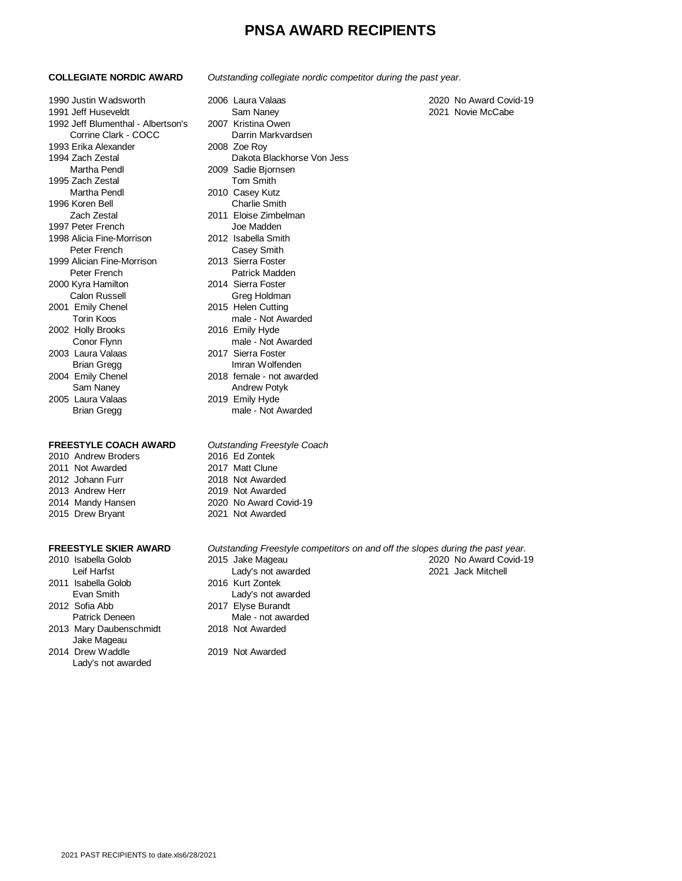### **COLLEGIATE NORDIC AWARD** *Outstanding collegiate nordic competitor during the past year.*

- 1992 Jeff Blumenthal Albertson's 2007 Kristina Owen 1993 Erika Alexander 2008 Zoe Roy Martha Pendl 2009 Sadie Bjornsen
- 1996 Koren Bell Charlie Smith 1997 Peter French<br>1998 Alicia Fine-Morrison 1998 Alicia Fine-Morrison 2012 Isabella Smith 1998 Alicia Fine-Morrison
- 1999 Alician Fine-Morrison 2013 Sierra Foster 2000 Kyra Hamilton 2014 Sierra Foster
- 2001 Emily Chenel 2015 Helen Cutting 2002 Holly Brooks 2016 Emily Hyde 2003 Laura Valaas 2017 Sierra Foster
- 2005 Laura Valaas 2019 Emily Hyde

- 
- 
- 
- 
- 

- 
- 
- 2012 Sofia Abb 2017 Elyse Burandt Patrick Deneen Male - not awarded
- 2013 Mary Daubenschmidt 2018 Not Awarded Jake Mageau
- 2014 Drew Waddle 2019 Not Awarded Lady's not awarded

| Outstanding collegiate nordic competitor during the past year. |  |  |  |
|----------------------------------------------------------------|--|--|--|
|                                                                |  |  |  |

- 1990 Justin Wadsworth 2006 Laura Valaas 2020 No Award Covid-19 1991 Jeff Huseveldt Sam Naney 2021 Novie McCabe Corrine Clark - COCC Darrin Markvardsen 1994 Zach Zestal Dakota Blackhorse Von Jess 1995 Zach Zestal **Tom Smith** Martha Pendl 2010 Casey Kutz Zach Zestal 2011 Eloise Zimbelman Peter French Casey Smith Peter French Patrick Madden Calon Russell Greg Holdman Torin Koos **male - Not Awarded** Conor Flynn male - Not Awarded Brian Gregg **Imran Wolfenden** 2004 Emily Chenel 2018 female - not awarded Sam Naney **Andrew Potyk** Brian Gregg male - Not Awarded **FREESTYLE COACH AWARD** *Outstanding Freestyle Coach* 2010 Andrew Broders 2016 Ed Zontek 2011 Not Awarded 2017 Matt Clune 2012 Johann Furr 2018 Not Awarded 2013 Andrew Herr 2019 Not Awarded 2014 Mandy Hansen 2020 No Award Covid-19 2015 Drew Bryant 2021 Not Awarded
- **FREESTYLE SKIER AWARD** *Outstanding Freestyle competitors on and off the slopes during the past year.* 2010 Isabella Golob 2015 Jake Mageau 2020 No Award Covid-19 Leif Harfst Lady's not awarded 2021 Jack Mitchell 2011 Isabella Golob 2016 Kurt Zontek Evan Smith Lady's not awarded
	-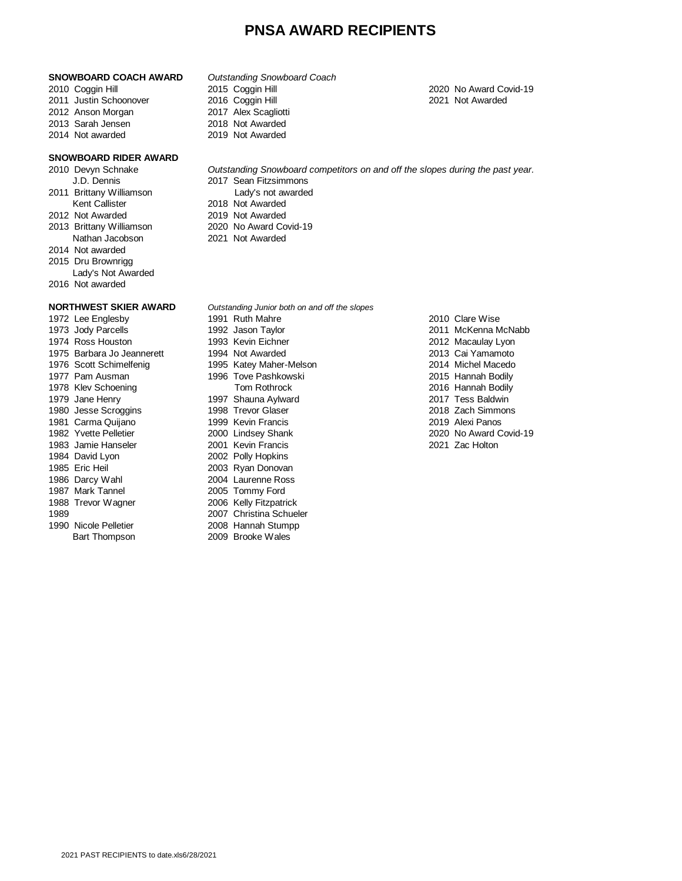### **SNOWBOARD COACH AWARD** *Outstanding Snowboard Coach*

- 
- 2012 Anson Morgan 2017 Alex Scagliotti
- 
- 

### **SNOWBOARD RIDER AWARD**

- 
- Kent Callister 2018 Not Awarded
- 
- 
- 2014 Not awarded
- 2015 Dru Brownrigg
- Lady's Not Awarded
- 2016 Not awarded

1985 Eric Heil 2003 Ryan Donovan 1986 Darcy Wahl 2004 Laurenne Ross 1987 Mark Tannel 2005 Tommy Ford 1988 Trevor Wagner 2006 Kelly Fitzpatrick 1989 2007 Christina Schueler 1990 Nicole Pelletier 2008 Hannah Stumpp Bart Thompson 2009 Brooke Wales

- 2010 Coggin Hill 2015 Coggin Hill 2020 No Award Covid-19 2011 Justin Schoonover 2016 Coggin Hill 2021 Not Awarded 2013 Sarah Jensen 2018 Not Awarded 2014 Not awarded 2019 Not Awarded
	-
- 2010 Devyn Schnake *Outstanding Snowboard competitors on and off the slopes during the past year.* J.D. Dennis 2017 Sean Fitzsimmons 2011 Brittany Williamson Lady's not awarded 2012 Not Awarded 2019 Not Awarded 2013 Brittany Williamson 2020 No Award Covid-19
	- Nathan Jacobson 2021 Not Awarded
- **NORTHWEST SKIER AWARD** *Outstanding Junior both on and off the slopes* 1972 Lee Englesby 1991 Ruth Mahre 1991 Ruth Mahre 2010 Clare Wise 1973 Jody Parcells 1992 Jason Taylor 2011 McKenna McNabb 1974 Ross Houston 1993 Kevin Eichner 2012 Macaulay Lyon 1975 Barbara Jo Jeannerett 1994 Not Awarded 2013 Cai Yamamoto 1976 Scott Schimelfenig 1995 Katey Maher-Melson 2014 Michel Macedo 1977 Pam Ausman 1996 Tove Pashkowski 2015 Hannah Bodily 1978 Klev Schoening Tom Rothrock 2016 Hannah Bodily 1979 Jane Henry 1997 Shauna Aylward 2017 Tess Baldwin 1980 Jesse Scroggins 1998 Trevor Glaser 2018 Zach Simmons 1981 Carma Quijano 1999 Kevin Francis 1991 1999 Kevin Panos 2019 Alexi Panos 1982 Yvette Pelletier 2000 Lindsey Shank 2020 No Award Covid-19 1983 Jamie Hanseler 2001 Kevin Francis 2021 Zac Holton 2002 Polly Hopkins
-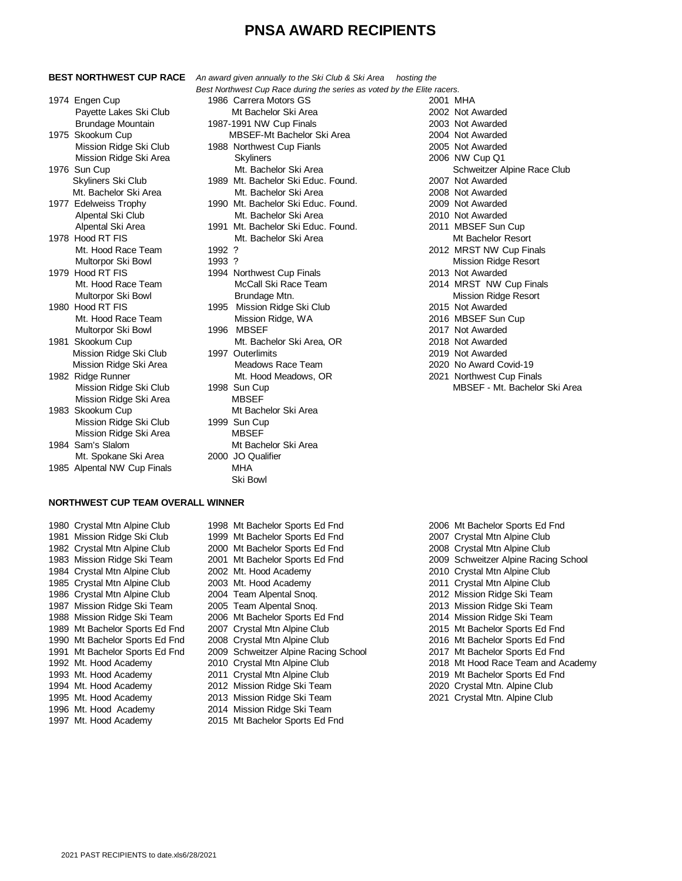### **BEST NORTHWEST CUP RACE** *An award given annually to the Ski Club & Ski Area hosting the*

- 
- 
- 
- 
- 
- 
- 
- 
- Mission Ridge Ski Area **MBSEF** 1983 Skookum Cup Mt Bachelor Ski Area
- Mission Ridge Ski Area **MBSEF** 1984 Sam's Slalom Mt Bachelor Ski Area Mt. Spokane Ski Area 2000 JO Qualifier
- *Best Northwest Cup Race during the series as voted by the Elite racers.* 1974 Engen Cup 1986 Carrera Motors GS 2001 MHA Payette Lakes Ski Club Mt Bachelor Ski Area 2002 Not Awarded Brundage Mountain **1987-1991 NW Cup Finals** 2003 Not Awarded 1975 Skookum Cup MBSEF-Mt Bachelor Ski Area 2004 Not Awarded Mission Ridge Ski Club 1988 Northwest Cup Fianls 2005 Not Awarded Mission Ridge Ski Area **Skyliners** 2006 NW Cup Q1 1976 Sun Cup Cup Cup Mt. Bachelor Ski Area Schweitzer Alpine Race Club Skyliners Ski Club 1989 Mt. Bachelor Ski Educ. Found. 2007 Not Awarded Mt. Bachelor Ski Area 1990 Mt. Bachelor Ski Area 2008 Not Awarded<br>1977 Edelweiss Trophy 1990 Mt. Bachelor Ski Educ. Found. 2009 Not Awarded 1990 Mt. Bachelor Ski Educ. Found. 2009 Not Awarded Alpental Ski Club Mt. Bachelor Ski Area 2010 Not Awarded<br>Alpental Ski Area 1991 Mt. Bachelor Ski Educ. Found. 2011 MBSEF Sun 1991 Mt. Bachelor Ski Educ. Found. 2011 MBSEF Sun Cup 1978 Hood RT FIS **MELL ACCOM** MEL Bachelor Ski Area **MELL Accommended Mechanism** Mt Bachelor Resort Mt. Hood Race Team 1992 ? 2012 MRST NW Cup Finals Multorpor Ski Bowl **1993 ?** 1993 **1993 1998** 1998 **Mission Ridge Resort** 1979 Hood RT FIS 1994 Northwest Cup Finals 2013 Not Awarded Mt. Hood Race Team **McCall Ski Race Team** 2014 MRST NW Cup Finals Multorpor Ski Bowl **Brundage Mtn.** Brundage Mtn. Mission Ridge Resort 1980 Hood RT FIS 1995 Mission Ridge Ski Club 2015 Not Awarded Mt. Hood Race Team **Mission Ridge, WA 2016 MBSEF Sun Cup** Multorpor Ski Bowl 1996 MBSEF 2017 Not Awarded 1981 Skookum Cup Mt. Bachelor Ski Area, OR 2018 Not Awarded Mission Ridge Ski Club 1997 Outerlimits 2019 Not Awarded Mission Ridge Ski Area Meadows Race Team 2020 No Award Covid-19 1982 Ridge Runner Mt. Hood Meadows, OR 2021 Northwest Cup Finals
- Mission Ridge Ski Club 1999 Sun Cup 1985 Alpental NW Cup Finals MHA Ski Bowl
- Mission Ridge Ski Club 1998 Sun Cup Mission Ridge Ski Area

### **NORTHWEST CUP TEAM OVERALL WINNER**

1996 Mt. Hood Academy 2014 Mission Ridge Ski Team

1980 Crystal Mtn Alpine Club 1998 Mt Bachelor Sports Ed Fnd 2006 Mt Bachelor Sports Ed Fnd 1981 Mission Ridge Ski Club 1999 Mt Bachelor Sports Ed Fnd 2007 Crystal Mtn Alpine Club 1982 Crystal Mtn Alpine Club 2000 Mt Bachelor Sports Ed Fnd 2008 Crystal Mtn Alpine Club 1984 Crystal Mtn Alpine Club 2002 Mt. Hood Academy 2010 Crystal Mtn Alpine Club 1985 Crystal Mtn Alpine Club 2003 Mt. Hood Academy 2011 Crystal Mtn Alpine Club 1986 Crystal Mtn Alpine Club 2004 Team Alpental Snoq. 2012 Mission Ridge Ski Team 1987 Mission Ridge Ski Team 2005 Team Alpental Snoq. 2013 Mission Ridge Ski Team 1988 Mission Ridge Ski Team 2006 Mt Bachelor Sports Ed Fnd 2014 Mission Ridge Ski Team<br>1989 Mt Bachelor Sports Ed Fnd 2007 Crystal Mtn Alpine Club 2015 Mt Bachelor Sports Ed F 1989 Mt Bachelor Sports Ed Fnd 2007 Crystal Mtn Alpine Club 2015 Mt Bachelor Sports Ed Fnd 1990 Mt Bachelor Sports Ed Fnd 2008 Crystal Mtn Alpine Club 2016 Mt Bachelor Sports Ed Fnd 1991 Mt Bachelor Sports Ed Fnd 2009 Schweitzer Alpine Racing School 2017 Mt Bachelor Sports Ed Fnd 1993 Mt. Hood Academy 2011 Crystal Mtn Alpine Club 2019 Mt Bachelor Sports Ed Fnd 1994 Mt. Hood Academy 2012 Mission Ridge Ski Team 2020 Crystal Mtn. Alpine Club 1995 Mt. Hood Academy 2013 Mission Ridge Ski Team 2021 Crystal Mtn. Alpine Club

- 1997 Mt. Hood Academy 2015 Mt Bachelor Sports Ed Fnd
- 1983 Mission Ridge Ski Team 2001 Mt Bachelor Sports Ed Fnd 2009 Schweitzer Alpine Racing School 1992 Mt. Hood Academy 2010 Crystal Mtn Alpine Club 2018 Mt Hood Race Team and Academy
	-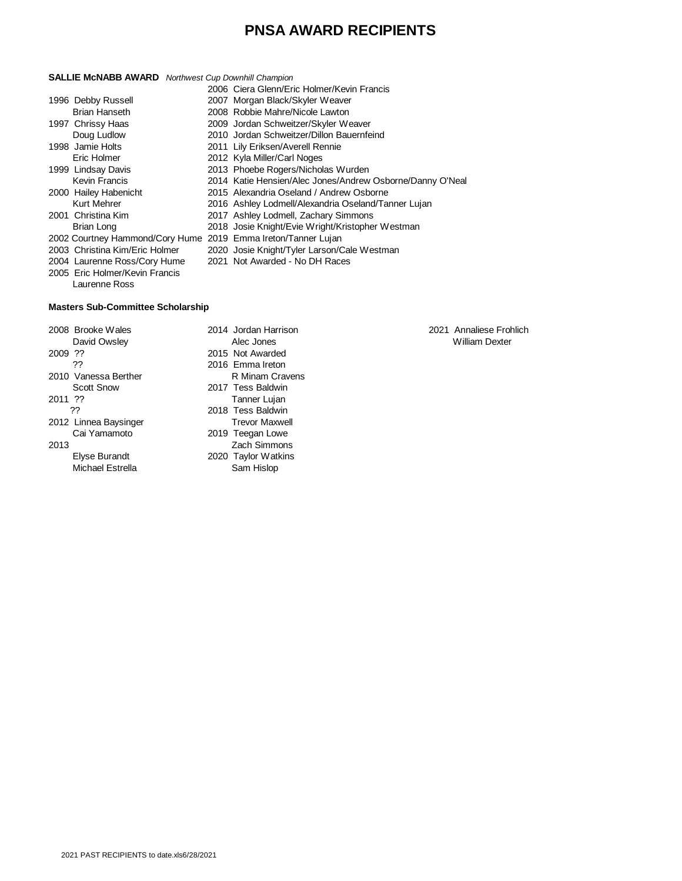|  | <b>SALLIE McNABB AWARD</b> Northwest Cup Downhill Champion |
|--|------------------------------------------------------------|
|--|------------------------------------------------------------|

|                                 | 2006 Ciera Glenn/Eric Holmer/Kevin Francis                |
|---------------------------------|-----------------------------------------------------------|
| 1996 Debby Russell              | 2007 Morgan Black/Skyler Weaver                           |
| Brian Hanseth                   | 2008 Robbie Mahre/Nicole Lawton                           |
| 1997 Chrissy Haas               | 2009 Jordan Schweitzer/Skyler Weaver                      |
| Doug Ludlow                     | 2010 Jordan Schweitzer/Dillon Bauernfeind                 |
| 1998 Jamie Holts                | 2011 Lily Eriksen/Averell Rennie                          |
| Eric Holmer                     | 2012 Kyla Miller/Carl Noges                               |
| 1999 Lindsay Davis              | 2013 Phoebe Rogers/Nicholas Wurden                        |
| Kevin Francis                   | 2014 Katie Hensien/Alec Jones/Andrew Osborne/Danny O'Neal |
| 2000 Hailey Habenicht           | 2015 Alexandria Oseland / Andrew Osborne                  |
| Kurt Mehrer                     | 2016 Ashley Lodmell/Alexandria Oseland/Tanner Lujan       |
| 2001 Christina Kim              | 2017 Ashley Lodmell, Zachary Simmons                      |
| Brian Long                      | 2018 Josie Knight/Evie Wright/Kristopher Westman          |
| 2002 Courtney Hammond/Cory Hume | 2019 Emma Ireton/Tanner Lujan                             |
| 2003 Christina Kim/Eric Holmer  | 2020 Josie Knight/Tyler Larson/Cale Westman               |
| 2004 Laurenne Ross/Cory Hume    | 2021 Not Awarded - No DH Races                            |
| 2005 Eric Holmer/Kevin Francis  |                                                           |

Laurenne Ross

### **Masters Sub-Committee Scholarship**

2008 Brooke Wales 2014 Jordan Harrison 2021 Annaliese Frohlich David Owsley **Alec Jones** Alec Jones **Alexander William Dexter** 2009 ?? 2015 Not Awarded ?? 2016 Emma Ireton 2010 Vanessa Berther R Minam Cravens Scott Snow 2017 Tess Baldwin<br>
2011 ?? Tanner Lujan ?? 2018 Tess Baldwin 2012 Linnea Baysinger Trevor Maxwell Cai Yamamoto 2019 Teegan Lowe<br>2013 Zach Simmons Elyse Burandt 2020 Taylor Watkins Michael Estrella Sam Hislop

Tanner Lujan Zach Simmons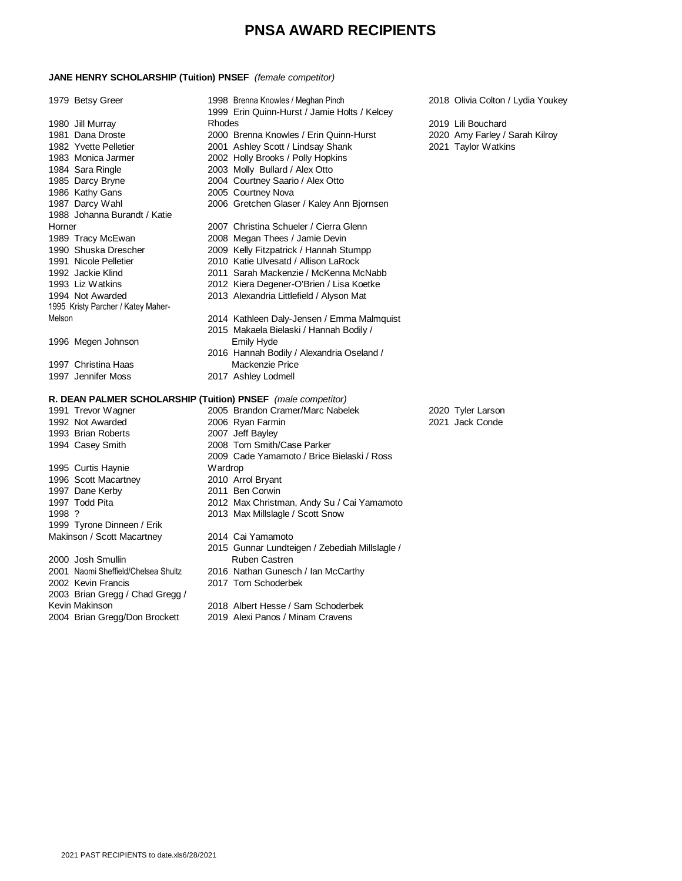## **JANE HENRY SCHOLARSHIP (Tuition) PNSEF** *(female competitor)*

|        | 1979 Betsy Greer                                             |         | 1998 Brenna Knowles / Meghan Pinch<br>1999 Erin Quinn-Hurst / Jamie Holts / Kelcey | 2018 Olivia Colton / Lydia Youkey |
|--------|--------------------------------------------------------------|---------|------------------------------------------------------------------------------------|-----------------------------------|
|        | 1980 Jill Murray                                             | Rhodes  |                                                                                    | 2019 Lili Bouchard                |
|        | 1981 Dana Droste                                             |         | 2000 Brenna Knowles / Erin Quinn-Hurst                                             | 2020 Amy Farley / Sarah Kilroy    |
|        | 1982 Yvette Pelletier                                        |         | 2001 Ashley Scott / Lindsay Shank                                                  | 2021 Taylor Watkins               |
|        | 1983 Monica Jarmer                                           |         | 2002 Holly Brooks / Polly Hopkins                                                  |                                   |
|        | 1984 Sara Ringle                                             |         | 2003 Molly Bullard / Alex Otto                                                     |                                   |
|        | 1985 Darcy Bryne                                             |         | 2004 Courtney Saario / Alex Otto                                                   |                                   |
|        | 1986 Kathy Gans                                              |         | 2005 Courtney Nova                                                                 |                                   |
|        | 1987 Darcy Wahl                                              |         | 2006 Gretchen Glaser / Kaley Ann Bjornsen                                          |                                   |
|        | 1988 Johanna Burandt / Katie                                 |         |                                                                                    |                                   |
| Horner |                                                              |         | 2007 Christina Schueler / Cierra Glenn                                             |                                   |
|        | 1989 Tracy McEwan                                            |         | 2008 Megan Thees / Jamie Devin                                                     |                                   |
|        | 1990 Shuska Drescher                                         |         | 2009 Kelly Fitzpatrick / Hannah Stumpp                                             |                                   |
|        | 1991 Nicole Pelletier                                        |         | 2010 Katie Ulvesatd / Allison LaRock                                               |                                   |
|        | 1992 Jackie Klind                                            |         | 2011 Sarah Mackenzie / McKenna McNabb                                              |                                   |
|        | 1993 Liz Watkins                                             |         | 2012 Kiera Degener-O'Brien / Lisa Koetke                                           |                                   |
|        | 1994 Not Awarded                                             |         | 2013 Alexandria Littlefield / Alyson Mat                                           |                                   |
|        | 1995 Kristy Parcher / Katey Maher-                           |         |                                                                                    |                                   |
| Melson |                                                              |         | 2014 Kathleen Daly-Jensen / Emma Malmquist                                         |                                   |
|        |                                                              |         | 2015 Makaela Bielaski / Hannah Bodily /                                            |                                   |
|        | 1996 Megen Johnson                                           |         | <b>Emily Hyde</b>                                                                  |                                   |
|        |                                                              |         | 2016 Hannah Bodily / Alexandria Oseland /                                          |                                   |
|        | 1997 Christina Haas                                          |         | Mackenzie Price                                                                    |                                   |
|        | 1997 Jennifer Moss                                           |         | 2017 Ashley Lodmell                                                                |                                   |
|        | R. DEAN PALMER SCHOLARSHIP (Tuition) PNSEF (male competitor) |         |                                                                                    |                                   |
|        | 1991 Trevor Wagner                                           |         | 2005 Brandon Cramer/Marc Nabelek                                                   | 2020 Tyler Larson                 |
|        | 1992 Not Awarded                                             |         | 2006 Ryan Farmin                                                                   | 2021 Jack Conde                   |
|        | 1993 Brian Roberts                                           |         | 2007 Jeff Bayley                                                                   |                                   |
|        | 1994 Casey Smith                                             |         | 2008 Tom Smith/Case Parker                                                         |                                   |
|        |                                                              |         | 2009 Cade Yamamoto / Brice Bielaski / Ross                                         |                                   |
|        | 1995 Curtis Haynie                                           | Wardrop |                                                                                    |                                   |
|        | 1996 Scott Macartney                                         |         | 2010 Arrol Bryant                                                                  |                                   |
|        | 1997 Dane Kerby                                              |         | 2011 Ben Corwin                                                                    |                                   |
|        | 1997 Todd Pita                                               |         | 2012 Max Christman, Andy Su / Cai Yamamoto                                         |                                   |
| 1998 ? |                                                              |         | 2013 Max Millslagle / Scott Snow                                                   |                                   |
|        | 1999 Tyrone Dinneen / Erik                                   |         |                                                                                    |                                   |
|        | Makinson / Scott Macartney                                   |         | 2014 Cai Yamamoto                                                                  |                                   |
|        |                                                              |         | 2015 Gunnar Lundteigen / Zebediah Millslagle /                                     |                                   |
|        | 2000 Josh Smullin                                            |         | <b>Ruben Castren</b>                                                               |                                   |
|        | 2001 Naomi Sheffield/Chelsea Shultz                          |         | 2016 Nathan Gunesch / Ian McCarthy                                                 |                                   |
|        | 2002 Kevin Francis                                           |         | 2017 Tom Schoderbek                                                                |                                   |
|        | 2003 Brian Gregg / Chad Gregg /                              |         |                                                                                    |                                   |
|        | Kevin Makinson                                               |         | 2018 Albert Hesse / Sam Schoderbek                                                 |                                   |
|        | 2004 Brian Gregg/Don Brockett                                |         | 2019 Alexi Panos / Minam Cravens                                                   |                                   |
|        |                                                              |         |                                                                                    |                                   |